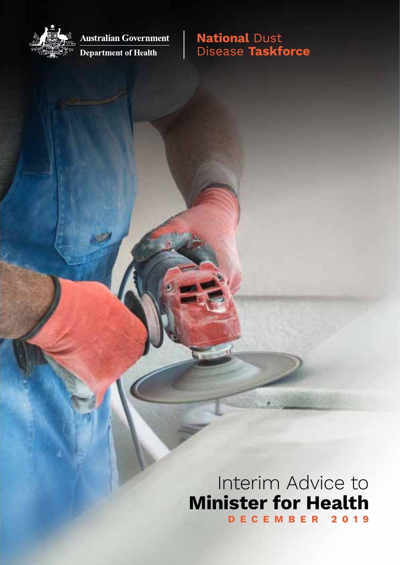

**Australian Government** 

**Department of Health** 

**National** Dust Disease **Taskforce**

# Interim Advice to **Minister for Health Dece m ber 2019**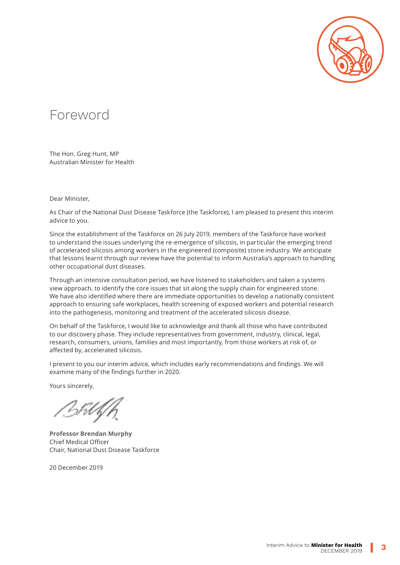

# <span id="page-2-0"></span>Foreword

The Hon. Greg Hunt, MP Australian Minister for Health

Dear Minister,

As Chair of the National Dust Disease Taskforce (the Taskforce), I am pleased to present this interim advice to you.

Since the establishment of the Taskforce on 26 July 2019, members of the Taskforce have worked to understand the issues underlying the re-emergence of silicosis, in particular the emerging trend of accelerated silicosis among workers in the engineered (composite) stone industry. We anticipate that lessons learnt through our review have the potential to inform Australia's approach to handling other occupational dust diseases.

Through an intensive consultation period, we have listened to stakeholders and taken a systems view approach, to identify the core issues that sit along the supply chain for engineered stone. We have also identified where there are immediate opportunities to develop a nationally consistent approach to ensuring safe workplaces, health screening of exposed workers and potential research into the pathogenesis, monitoring and treatment of the accelerated silicosis disease.

On behalf of the Taskforce, I would like to acknowledge and thank all those who have contributed to our discovery phase. They include representatives from government, industry, clinical, legal, research, consumers, unions, families and most importantly, from those workers at risk of, or affected by, accelerated silicosis.

I present to you our interim advice, which includes early recommendations and findings. We will examine many of the findings further in 2020.

Yours sincerely,

**Professor Brendan Murphy** Chief Medical Officer Chair, National Dust Disease Taskforce

20 December 2019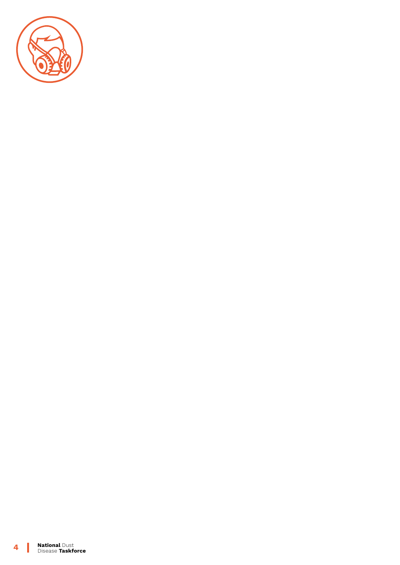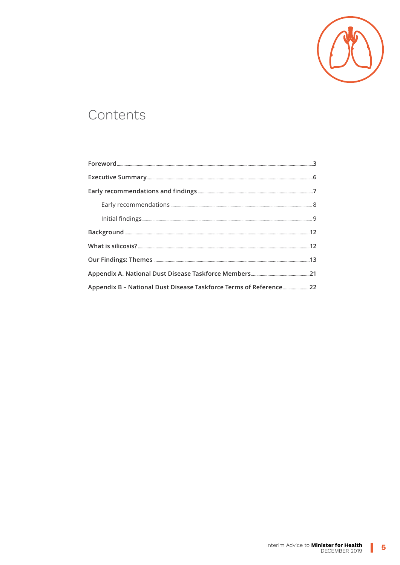

# Contents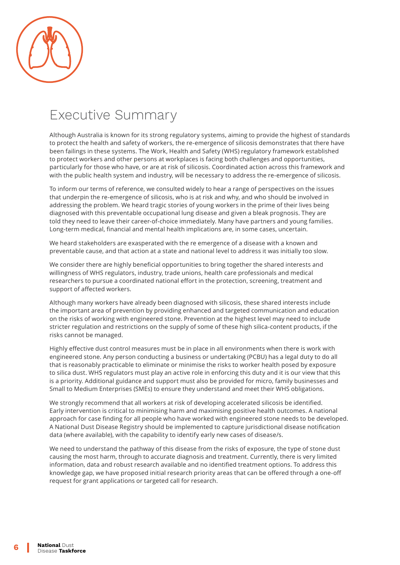<span id="page-5-0"></span>

# Executive Summary

Although Australia is known for its strong regulatory systems, aiming to provide the highest of standards to protect the health and safety of workers, the re-emergence of silicosis demonstrates that there have been failings in these systems. The Work, Health and Safety (WHS) regulatory framework established to protect workers and other persons at workplaces is facing both challenges and opportunities, particularly for those who have, or are at risk of silicosis. Coordinated action across this framework and with the public health system and industry, will be necessary to address the re-emergence of silicosis.

To inform our terms of reference, we consulted widely to hear a range of perspectives on the issues that underpin the re-emergence of silicosis, who is at risk and why, and who should be involved in addressing the problem. We heard tragic stories of young workers in the prime of their lives being diagnosed with this preventable occupational lung disease and given a bleak prognosis. They are told they need to leave their career-of-choice immediately. Many have partners and young families. Long-term medical, financial and mental health implications are, in some cases, uncertain.

We heard stakeholders are exasperated with the re emergence of a disease with a known and preventable cause, and that action at a state and national level to address it was initially too slow.

We consider there are highly beneficial opportunities to bring together the shared interests and willingness of WHS regulators, industry, trade unions, health care professionals and medical researchers to pursue a coordinated national effort in the protection, screening, treatment and support of affected workers.

Although many workers have already been diagnosed with silicosis, these shared interests include the important area of prevention by providing enhanced and targeted communication and education on the risks of working with engineered stone. Prevention at the highest level may need to include stricter regulation and restrictions on the supply of some of these high silica-content products, if the risks cannot be managed.

Highly effective dust control measures must be in place in all environments when there is work with engineered stone. Any person conducting a business or undertaking (PCBU) has a legal duty to do all that is reasonably practicable to eliminate or minimise the risks to worker health posed by exposure to silica dust. WHS regulators must play an active role in enforcing this duty and it is our view that this is a priority. Additional guidance and support must also be provided for micro, family businesses and Small to Medium Enterprises (SMEs) to ensure they understand and meet their WHS obligations.

We strongly recommend that all workers at risk of developing accelerated silicosis be identified. Early intervention is critical to minimising harm and maximising positive health outcomes. A national approach for case finding for all people who have worked with engineered stone needs to be developed. A National Dust Disease Registry should be implemented to capture jurisdictional disease notification data (where available), with the capability to identify early new cases of disease/s.

We need to understand the pathway of this disease from the risks of exposure, the type of stone dust causing the most harm, through to accurate diagnosis and treatment. Currently, there is very limited information, data and robust research available and no identified treatment options. To address this knowledge gap, we have proposed initial research priority areas that can be offered through a one-off request for grant applications or targeted call for research.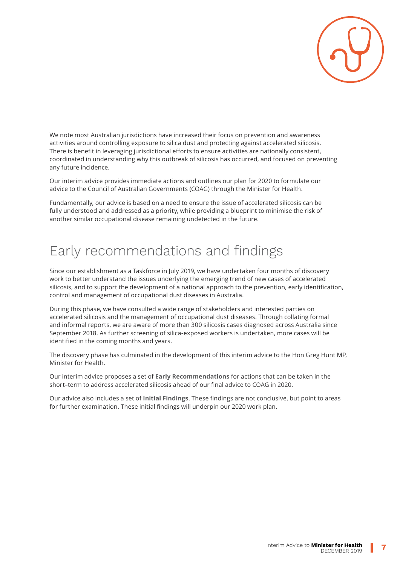

<span id="page-6-0"></span>We note most Australian jurisdictions have increased their focus on prevention and awareness activities around controlling exposure to silica dust and protecting against accelerated silicosis. There is benefit in leveraging jurisdictional efforts to ensure activities are nationally consistent, coordinated in understanding why this outbreak of silicosis has occurred, and focused on preventing any future incidence.

Our interim advice provides immediate actions and outlines our plan for 2020 to formulate our advice to the Council of Australian Governments (COAG) through the Minister for Health.

Fundamentally, our advice is based on a need to ensure the issue of accelerated silicosis can be fully understood and addressed as a priority, while providing a blueprint to minimise the risk of another similar occupational disease remaining undetected in the future.

# Early recommendations and findings

Since our establishment as a Taskforce in July 2019, we have undertaken four months of discovery work to better understand the issues underlying the emerging trend of new cases of accelerated silicosis, and to support the development of a national approach to the prevention, early identification, control and management of occupational dust diseases in Australia.

During this phase, we have consulted a wide range of stakeholders and interested parties on accelerated silicosis and the management of occupational dust diseases. Through collating formal and informal reports, we are aware of more than 300 silicosis cases diagnosed across Australia since September 2018. As further screening of silica-exposed workers is undertaken, more cases will be identified in the coming months and years.

The discovery phase has culminated in the development of this interim advice to the Hon Greg Hunt MP, Minister for Health.

Our interim advice proposes a set of **Early Recommendations** for actions that can be taken in the short–term to address accelerated silicosis ahead of our final advice to COAG in 2020.

Our advice also includes a set of **Initial Findings**. These findings are not conclusive, but point to areas for further examination. These initial findings will underpin our 2020 work plan.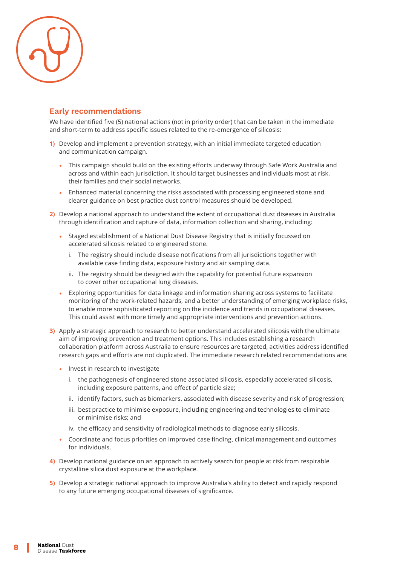<span id="page-7-0"></span>

# **Early recommendations**

We have identified five (5) national actions (not in priority order) that can be taken in the immediate and short-term to address specific issues related to the re-emergence of silicosis:

- **1)** Develop and implement a prevention strategy, with an initial immediate targeted education and communication campaign.
	- This campaign should build on the existing efforts underway through Safe Work Australia and across and within each jurisdiction. It should target businesses and individuals most at risk, their families and their social networks.
	- Enhanced material concerning the risks associated with processing engineered stone and clearer guidance on best practice dust control measures should be developed.
- **2)** Develop a national approach to understand the extent of occupational dust diseases in Australia through identification and capture of data, information collection and sharing, including:
	- Staged establishment of a National Dust Disease Registry that is initially focussed on accelerated silicosis related to engineered stone.
		- i. The registry should include disease notifications from all jurisdictions together with available case finding data, exposure history and air sampling data.
		- ii. The registry should be designed with the capability for potential future expansion to cover other occupational lung diseases.
	- Exploring opportunities for data linkage and information sharing across systems to facilitate monitoring of the work-related hazards, and a better understanding of emerging workplace risks, to enable more sophisticated reporting on the incidence and trends in occupational diseases. This could assist with more timely and appropriate interventions and prevention actions.
- **3)** Apply a strategic approach to research to better understand accelerated silicosis with the ultimate aim of improving prevention and treatment options. This includes establishing a research collaboration platform across Australia to ensure resources are targeted, activities address identified research gaps and efforts are not duplicated. The immediate research related recommendations are:
	- Invest in research to investigate
		- i. the pathogenesis of engineered stone associated silicosis, especially accelerated silicosis, including exposure patterns, and effect of particle size;
		- ii. identify factors, such as biomarkers, associated with disease severity and risk of progression;
		- iii. best practice to minimise exposure, including engineering and technologies to eliminate or minimise risks; and
		- iv. the efficacy and sensitivity of radiological methods to diagnose early silicosis.
	- Coordinate and focus priorities on improved case finding, clinical management and outcomes for individuals.
- **4)** Develop national guidance on an approach to actively search for people at risk from respirable crystalline silica dust exposure at the workplace.
- **5)** Develop a strategic national approach to improve Australia's ability to detect and rapidly respond to any future emerging occupational diseases of significance.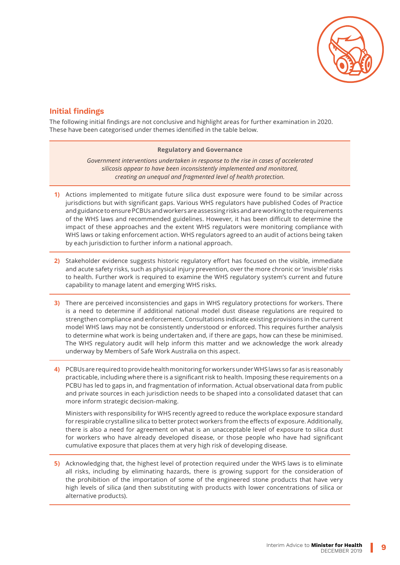

# <span id="page-8-0"></span>**Initial findings**

The following initial findings are not conclusive and highlight areas for further examination in 2020. These have been categorised under themes identified in the table below.

#### **Regulatory and Governance**

*Government interventions undertaken in response to the rise in cases of accelerated silicosis appear to have been inconsistently implemented and monitored, creating an unequal and fragmented level of health protection.* 

- **1)** Actions implemented to mitigate future silica dust exposure were found to be similar across jurisdictions but with significant gaps. Various WHS regulators have published Codes of Practice and guidance to ensure PCBUs and workers are assessing risks and are working to the requirements of the WHS laws and recommended guidelines. However, it has been difficult to determine the impact of these approaches and the extent WHS regulators were monitoring compliance with WHS laws or taking enforcement action. WHS regulators agreed to an audit of actions being taken by each jurisdiction to further inform a national approach.
- **2)** Stakeholder evidence suggests historic regulatory effort has focused on the visible, immediate and acute safety risks, such as physical injury prevention, over the more chronic or 'invisible' risks to health. Further work is required to examine the WHS regulatory system's current and future capability to manage latent and emerging WHS risks.
- **3)** There are perceived inconsistencies and gaps in WHS regulatory protections for workers. There is a need to determine if additional national model dust disease regulations are required to strengthen compliance and enforcement. Consultations indicate existing provisions in the current model WHS laws may not be consistently understood or enforced. This requires further analysis to determine what work is being undertaken and, if there are gaps, how can these be minimised. The WHS regulatory audit will help inform this matter and we acknowledge the work already underway by Members of Safe Work Australia on this aspect.
- **4)** PCBUs are required to provide health monitoring for workers under WHS laws so far as is reasonably practicable, including where there is a significant risk to health. Imposing these requirements on a PCBU has led to gaps in, and fragmentation of information. Actual observational data from public and private sources in each jurisdiction needs to be shaped into a consolidated dataset that can more inform strategic decision-making.

Ministers with responsibility for WHS recently agreed to reduce the workplace exposure standard for respirable crystalline silica to better protect workers from the effects of exposure. Additionally, there is also a need for agreement on what is an unacceptable level of exposure to silica dust for workers who have already developed disease, or those people who have had significant cumulative exposure that places them at very high risk of developing disease.

**5)** Acknowledging that, the highest level of protection required under the WHS laws is to eliminate all risks, including by eliminating hazards, there is growing support for the consideration of the prohibition of the importation of some of the engineered stone products that have very high levels of silica (and then substituting with products with lower concentrations of silica or alternative products).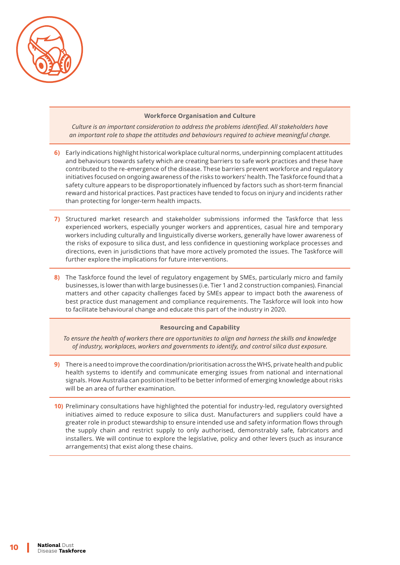

#### **Workforce Organisation and Culture**

*Culture is an important consideration to address the problems identified. All stakeholders have an important role to shape the attitudes and behaviours required to achieve meaningful change.*

- **6)** Early indications highlight historical workplace cultural norms, underpinning complacent attitudes and behaviours towards safety which are creating barriers to safe work practices and these have contributed to the re-emergence of the disease. These barriers prevent workforce and regulatory initiatives focused on ongoing awareness of the risks to workers' health. The Taskforce found that a safety culture appears to be disproportionately influenced by factors such as short-term financial reward and historical practices. Past practices have tended to focus on injury and incidents rather than protecting for longer-term health impacts.
- **7)** Structured market research and stakeholder submissions informed the Taskforce that less experienced workers, especially younger workers and apprentices, casual hire and temporary workers including culturally and linguistically diverse workers, generally have lower awareness of the risks of exposure to silica dust, and less confidence in questioning workplace processes and directions, even in jurisdictions that have more actively promoted the issues. The Taskforce will further explore the implications for future interventions.
- **8)** The Taskforce found the level of regulatory engagement by SMEs, particularly micro and family businesses, is lower than with large businesses (i.e. Tier 1 and 2 construction companies). Financial matters and other capacity challenges faced by SMEs appear to impact both the awareness of best practice dust management and compliance requirements. The Taskforce will look into how to facilitate behavioural change and educate this part of the industry in 2020.

#### **Resourcing and Capability**

*To ensure the health of workers there are opportunities to align and harness the skills and knowledge of industry, workplaces, workers and governments to identify, and control silica dust exposure.*

- **9)** There is a need to improve the coordination/prioritisation across the WHS, private health and public health systems to identify and communicate emerging issues from national and international signals. How Australia can position itself to be better informed of emerging knowledge about risks will be an area of further examination.
- **10)** Preliminary consultations have highlighted the potential for industry-led, regulatory oversighted initiatives aimed to reduce exposure to silica dust. Manufacturers and suppliers could have a greater role in product stewardship to ensure intended use and safety information flows through the supply chain and restrict supply to only authorised, demonstrably safe, fabricators and installers. We will continue to explore the legislative, policy and other levers (such as insurance arrangements) that exist along these chains.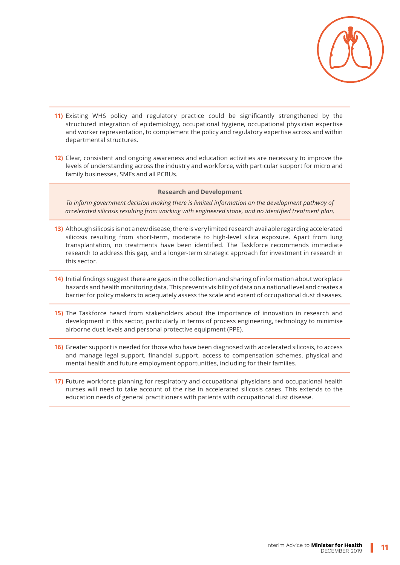

- **11)** Existing WHS policy and regulatory practice could be significantly strengthened by the structured integration of epidemiology, occupational hygiene, occupational physician expertise and worker representation, to complement the policy and regulatory expertise across and within departmental structures.
- **12)** Clear, consistent and ongoing awareness and education activities are necessary to improve the levels of understanding across the industry and workforce, with particular support for micro and family businesses, SMEs and all PCBUs.

#### **Research and Development**

*To inform government decision making there is limited information on the development pathway of accelerated silicosis resulting from working with engineered stone, and no identified treatment plan.*

- **13)** Although silicosis is not a new disease, there is very limited research available regarding accelerated silicosis resulting from short-term, moderate to high-level silica exposure. Apart from lung transplantation, no treatments have been identified. The Taskforce recommends immediate research to address this gap, and a longer-term strategic approach for investment in research in this sector.
- **14)** Initial findings suggest there are gaps in the collection and sharing of information about workplace hazards and health monitoring data. This prevents visibility of data on a national level and creates a barrier for policy makers to adequately assess the scale and extent of occupational dust diseases.
- **15)** The Taskforce heard from stakeholders about the importance of innovation in research and development in this sector, particularly in terms of process engineering, technology to minimise airborne dust levels and personal protective equipment (PPE).
- **16)** Greater support is needed for those who have been diagnosed with accelerated silicosis, to access and manage legal support, financial support, access to compensation schemes, physical and mental health and future employment opportunities, including for their families.
- **17)** Future workforce planning for respiratory and occupational physicians and occupational health nurses will need to take account of the rise in accelerated silicosis cases. This extends to the education needs of general practitioners with patients with occupational dust disease.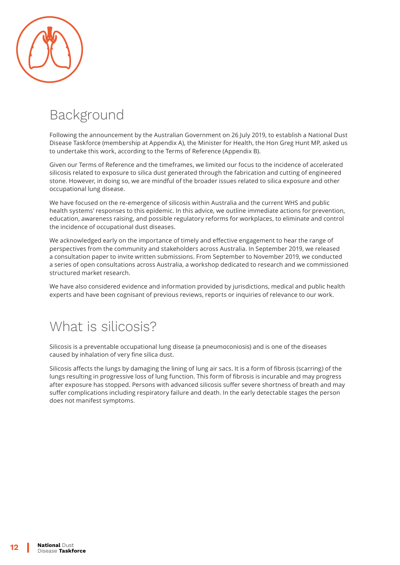<span id="page-11-0"></span>

# Background

Following the announcement by the Australian Government on 26 July 2019, to establish a National Dust Disease Taskforce (membership at Appendix A), the Minister for Health, the Hon Greg Hunt MP, asked us to undertake this work, according to the Terms of Reference (Appendix B).

Given our Terms of Reference and the timeframes, we limited our focus to the incidence of accelerated silicosis related to exposure to silica dust generated through the fabrication and cutting of engineered stone. However, in doing so, we are mindful of the broader issues related to silica exposure and other occupational lung disease.

We have focused on the re-emergence of silicosis within Australia and the current WHS and public health systems' responses to this epidemic. In this advice, we outline immediate actions for prevention, education, awareness raising, and possible regulatory reforms for workplaces, to eliminate and control the incidence of occupational dust diseases.

We acknowledged early on the importance of timely and effective engagement to hear the range of perspectives from the community and stakeholders across Australia. In September 2019, we released a consultation paper to invite written submissions. From September to November 2019, we conducted a series of open consultations across Australia, a workshop dedicated to research and we commissioned structured market research.

We have also considered evidence and information provided by jurisdictions, medical and public health experts and have been cognisant of previous reviews, reports or inquiries of relevance to our work.

# What is silicosis?

Silicosis is a preventable occupational lung disease (a pneumoconiosis) and is one of the diseases caused by inhalation of very fine silica dust.

Silicosis affects the lungs by damaging the lining of lung air sacs. It is a form of fibrosis (scarring) of the lungs resulting in progressive loss of lung function. This form of fibrosis is incurable and may progress after exposure has stopped. Persons with advanced silicosis suffer severe shortness of breath and may suffer complications including respiratory failure and death. In the early detectable stages the person does not manifest symptoms.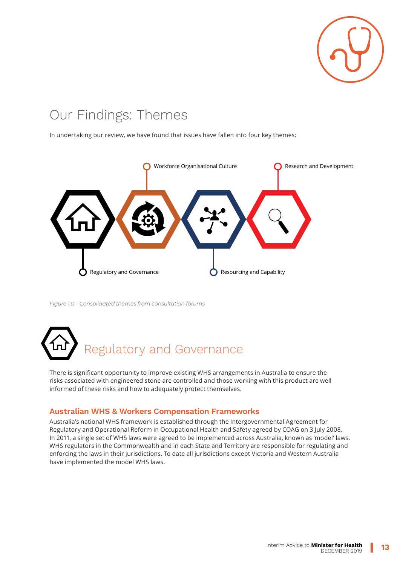

# <span id="page-12-0"></span>Our Findings: Themes

In undertaking our review, we have found that issues have fallen into four key themes:



*Figure 1.0 – Consolidated themes from consultation forums*



There is significant opportunity to improve existing WHS arrangements in Australia to ensure the risks associated with engineered stone are controlled and those working with this product are well informed of these risks and how to adequately protect themselves.

## **Australian WHS & Workers Compensation Frameworks**

Australia's national WHS framework is established through the Intergovernmental Agreement for Regulatory and Operational Reform in Occupational Health and Safety agreed by COAG on 3 July 2008. In 2011, a single set of WHS laws were agreed to be implemented across Australia, known as 'model' laws. WHS regulators in the Commonwealth and in each State and Territory are responsible for regulating and enforcing the laws in their jurisdictions. To date all jurisdictions except Victoria and Western Australia have implemented the model WHS laws.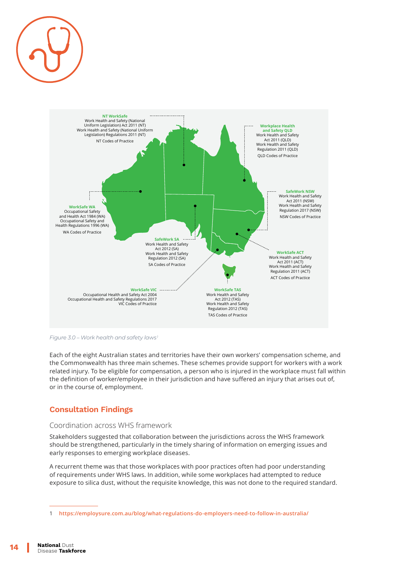



*Figure 3.0 – Work health and safety laws1*

Each of the eight Australian states and territories have their own workers' compensation scheme, and the Commonwealth has three main schemes. These schemes provide support for workers with a work related injury. To be eligible for compensation, a person who is injured in the workplace must fall within the definition of worker/employee in their jurisdiction and have suffered an injury that arises out of, or in the course of, employment.

# **Consultation Findings**

## Coordination across WHS framework

Stakeholders suggested that collaboration between the jurisdictions across the WHS framework should be strengthened, particularly in the timely sharing of information on emerging issues and early responses to emerging workplace diseases.

A recurrent theme was that those workplaces with poor practices often had poor understanding of requirements under WHS laws. In addition, while some workplaces had attempted to reduce exposure to silica dust, without the requisite knowledge, this was not done to the required standard.

<sup>1</sup> **<https://employsure.com.au/blog/what-regulations-do-employers-need-to-follow-in-australia/>**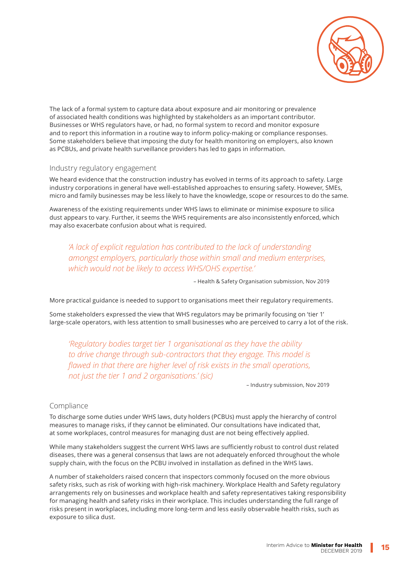

The lack of a formal system to capture data about exposure and air monitoring or prevalence of associated health conditions was highlighted by stakeholders as an important contributor. Businesses or WHS regulators have, or had, no formal system to record and monitor exposure and to report this information in a routine way to inform policy-making or compliance responses. Some stakeholders believe that imposing the duty for health monitoring on employers, also known as PCBUs, and private health surveillance providers has led to gaps in information.

### Industry regulatory engagement

We heard evidence that the construction industry has evolved in terms of its approach to safety. Large industry corporations in general have well-established approaches to ensuring safety. However, SMEs, micro and family businesses may be less likely to have the knowledge, scope or resources to do the same.

Awareness of the existing requirements under WHS laws to eliminate or minimise exposure to silica dust appears to vary. Further, it seems the WHS requirements are also inconsistently enforced, which may also exacerbate confusion about what is required.

*'A lack of explicit regulation has contributed to the lack of understanding amongst employers, particularly those within small and medium enterprises, which would not be likely to access WHS/OHS expertise.'* 

– Health & Safety Organisation submission, Nov 2019

More practical guidance is needed to support to organisations meet their regulatory requirements.

Some stakeholders expressed the view that WHS regulators may be primarily focusing on 'tier 1' large-scale operators, with less attention to small businesses who are perceived to carry a lot of the risk.

*'Regulatory bodies target tier 1 organisational as they have the ability to drive change through sub‑contractors that they engage. This model is flawed in that there are higher level of risk exists in the small operations, not just the tier 1 and 2 organisations.' (sic)*

– Industry submission, Nov 2019

## Compliance

To discharge some duties under WHS laws, duty holders (PCBUs) must apply the hierarchy of control measures to manage risks, if they cannot be eliminated. Our consultations have indicated that, at some workplaces, control measures for managing dust are not being effectively applied.

While many stakeholders suggest the current WHS laws are sufficiently robust to control dust related diseases, there was a general consensus that laws are not adequately enforced throughout the whole supply chain, with the focus on the PCBU involved in installation as defined in the WHS laws.

A number of stakeholders raised concern that inspectors commonly focused on the more obvious safety risks, such as risk of working with high-risk machinery. Workplace Health and Safety regulatory arrangements rely on businesses and workplace health and safety representatives taking responsibility for managing health and safety risks in their workplace. This includes understanding the full range of risks present in workplaces, including more long-term and less easily observable health risks, such as exposure to silica dust.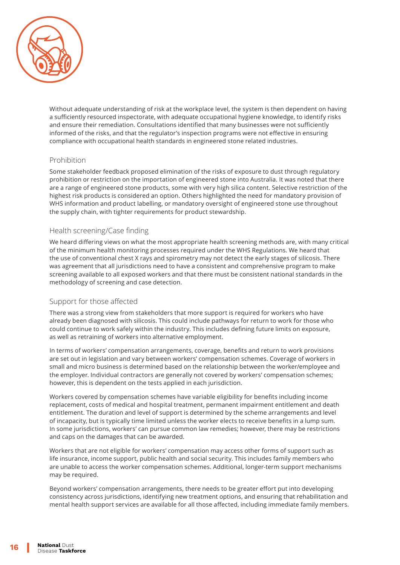

Without adequate understanding of risk at the workplace level, the system is then dependent on having a sufficiently resourced inspectorate, with adequate occupational hygiene knowledge, to identify risks and ensure their remediation. Consultations identified that many businesses were not sufficiently informed of the risks, and that the regulator's inspection programs were not effective in ensuring compliance with occupational health standards in engineered stone related industries.

## Prohibition

Some stakeholder feedback proposed elimination of the risks of exposure to dust through regulatory prohibition or restriction on the importation of engineered stone into Australia. It was noted that there are a range of engineered stone products, some with very high silica content. Selective restriction of the highest risk products is considered an option. Others highlighted the need for mandatory provision of WHS information and product labelling, or mandatory oversight of engineered stone use throughout the supply chain, with tighter requirements for product stewardship.

### Health screening/Case finding

We heard differing views on what the most appropriate health screening methods are, with many critical of the minimum health monitoring processes required under the WHS Regulations. We heard that the use of conventional chest X rays and spirometry may not detect the early stages of silicosis. There was agreement that all jurisdictions need to have a consistent and comprehensive program to make screening available to all exposed workers and that there must be consistent national standards in the methodology of screening and case detection.

## Support for those affected

There was a strong view from stakeholders that more support is required for workers who have already been diagnosed with silicosis. This could include pathways for return to work for those who could continue to work safely within the industry. This includes defining future limits on exposure, as well as retraining of workers into alternative employment.

In terms of workers' compensation arrangements, coverage, benefits and return to work provisions are set out in legislation and vary between workers' compensation schemes. Coverage of workers in small and micro business is determined based on the relationship between the worker/employee and the employer. Individual contractors are generally not covered by workers' compensation schemes; however, this is dependent on the tests applied in each jurisdiction.

Workers covered by compensation schemes have variable eligibility for benefits including income replacement, costs of medical and hospital treatment, permanent impairment entitlement and death entitlement. The duration and level of support is determined by the scheme arrangements and level of incapacity, but is typically time limited unless the worker elects to receive benefits in a lump sum. In some jurisdictions, workers' can pursue common law remedies; however, there may be restrictions and caps on the damages that can be awarded.

Workers that are not eligible for workers' compensation may access other forms of support such as life insurance, income support, public health and social security. This includes family members who are unable to access the worker compensation schemes. Additional, longer-term support mechanisms may be required.

Beyond workers' compensation arrangements, there needs to be greater effort put into developing consistency across jurisdictions, identifying new treatment options, and ensuring that rehabilitation and mental health support services are available for all those affected, including immediate family members.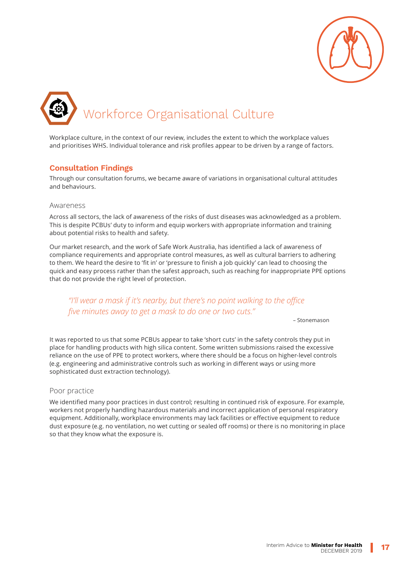

# Workforce Organisational Culture

Workplace culture, in the context of our review, includes the extent to which the workplace values and prioritises WHS. Individual tolerance and risk profiles appear to be driven by a range of factors.

## **Consultation Findings**

Through our consultation forums, we became aware of variations in organisational cultural attitudes and behaviours.

#### Awareness

Across all sectors, the lack of awareness of the risks of dust diseases was acknowledged as a problem. This is despite PCBUs' duty to inform and equip workers with appropriate information and training about potential risks to health and safety.

Our market research, and the work of Safe Work Australia, has identified a lack of awareness of compliance requirements and appropriate control measures, as well as cultural barriers to adhering to them. We heard the desire to 'fit in' or 'pressure to finish a job quickly' can lead to choosing the quick and easy process rather than the safest approach, such as reaching for inappropriate PPE options that do not provide the right level of protection.

# *"I'll wear a mask if it's nearby, but there's no point walking to the office five minutes away to get a mask to do one or two cuts."*

– Stonemason

It was reported to us that some PCBUs appear to take 'short cuts' in the safety controls they put in place for handling products with high silica content. Some written submissions raised the excessive reliance on the use of PPE to protect workers, where there should be a focus on higher-level controls (e.g. engineering and administrative controls such as working in different ways or using more sophisticated dust extraction technology).

## Poor practice

We identified many poor practices in dust control; resulting in continued risk of exposure. For example, workers not properly handling hazardous materials and incorrect application of personal respiratory equipment. Additionally, workplace environments may lack facilities or effective equipment to reduce dust exposure (e.g. no ventilation, no wet cutting or sealed off rooms) or there is no monitoring in place so that they know what the exposure is.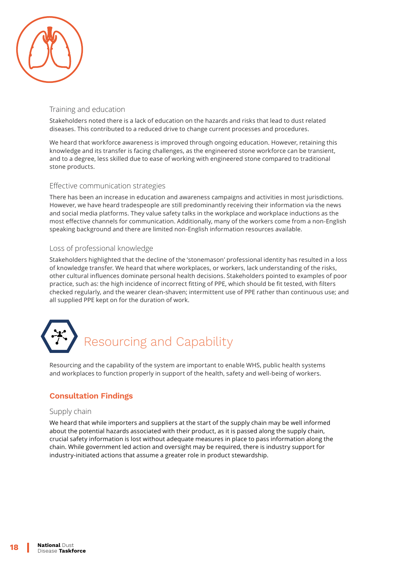

## Training and education

Stakeholders noted there is a lack of education on the hazards and risks that lead to dust related diseases. This contributed to a reduced drive to change current processes and procedures.

We heard that workforce awareness is improved through ongoing education. However, retaining this knowledge and its transfer is facing challenges, as the engineered stone workforce can be transient, and to a degree, less skilled due to ease of working with engineered stone compared to traditional stone products.

### Effective communication strategies

There has been an increase in education and awareness campaigns and activities in most jurisdictions. However, we have heard tradespeople are still predominantly receiving their information via the news and social media platforms. They value safety talks in the workplace and workplace inductions as the most effective channels for communication. Additionally, many of the workers come from a non-English speaking background and there are limited non-English information resources available.

## Loss of professional knowledge

Stakeholders highlighted that the decline of the 'stonemason' professional identity has resulted in a loss of knowledge transfer. We heard that where workplaces, or workers, lack understanding of the risks, other cultural influences dominate personal health decisions. Stakeholders pointed to examples of poor practice, such as: the high incidence of incorrect fitting of PPE, which should be fit tested, with filters checked regularly, and the wearer clean-shaven; intermittent use of PPE rather than continuous use; and all supplied PPE kept on for the duration of work.

# Resourcing and Capability

Resourcing and the capability of the system are important to enable WHS, public health systems and workplaces to function properly in support of the health, safety and well-being of workers.

# **Consultation Findings**

## Supply chain

We heard that while importers and suppliers at the start of the supply chain may be well informed about the potential hazards associated with their product, as it is passed along the supply chain, crucial safety information is lost without adequate measures in place to pass information along the chain. While government led action and oversight may be required, there is industry support for industry-initiated actions that assume a greater role in product stewardship.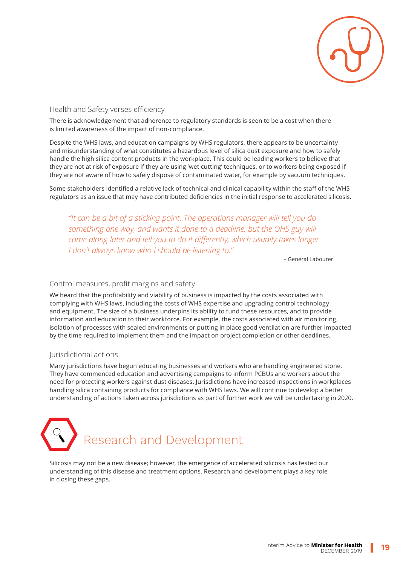

#### Health and Safety verses efficiency

There is acknowledgement that adherence to regulatory standards is seen to be a cost when there is limited awareness of the impact of non-compliance.

Despite the WHS laws, and education campaigns by WHS regulators, there appears to be uncertainty and misunderstanding of what constitutes a hazardous level of silica dust exposure and how to safely handle the high silica content products in the workplace. This could be leading workers to believe that they are not at risk of exposure if they are using 'wet cutting' techniques, or to workers being exposed if they are not aware of how to safely dispose of contaminated water, for example by vacuum techniques.

Some stakeholders identified a relative lack of technical and clinical capability within the staff of the WHS regulators as an issue that may have contributed deficiencies in the initial response to accelerated silicosis.

*"It can be a bit of a sticking point. The operations manager will tell you do something one way, and wants it done to a deadline, but the OHS guy will come along later and tell you to do it differently, which usually takes longer. I don't always know who I should be listening to."*

– General Labourer

#### Control measures, profit margins and safety

We heard that the profitability and viability of business is impacted by the costs associated with complying with WHS laws, including the costs of WHS expertise and upgrading control technology and equipment. The size of a business underpins its ability to fund these resources, and to provide information and education to their workforce. For example, the costs associated with air monitoring, isolation of processes with sealed environments or putting in place good ventilation are further impacted by the time required to implement them and the impact on project completion or other deadlines.

#### Jurisdictional actions

Many jurisdictions have begun educating businesses and workers who are handling engineered stone. They have commenced education and advertising campaigns to inform PCBUs and workers about the need for protecting workers against dust diseases. Jurisdictions have increased inspections in workplaces handling silica containing products for compliance with WHS laws. We will continue to develop a better understanding of actions taken across jurisdictions as part of further work we will be undertaking in 2020.

# Research and Development

Silicosis may not be a new disease; however, the emergence of accelerated silicosis has tested our understanding of this disease and treatment options. Research and development plays a key role in closing these gaps.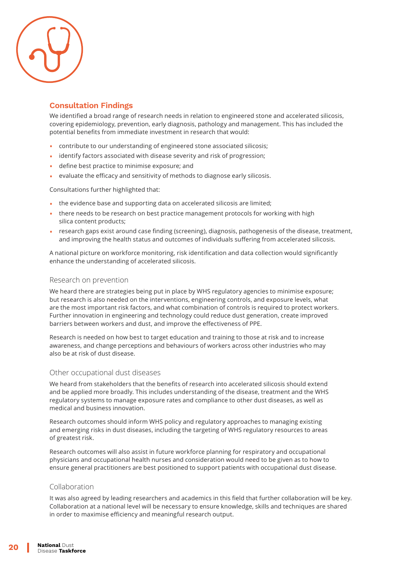

# **Consultation Findings**

We identified a broad range of research needs in relation to engineered stone and accelerated silicosis, covering epidemiology, prevention, early diagnosis, pathology and management. This has included the potential benefits from immediate investment in research that would:

- contribute to our understanding of engineered stone associated silicosis;
- identify factors associated with disease severity and risk of progression;
- define best practice to minimise exposure; and
- evaluate the efficacy and sensitivity of methods to diagnose early silicosis.

Consultations further highlighted that:

- the evidence base and supporting data on accelerated silicosis are limited;
- there needs to be research on best practice management protocols for working with high silica content products;
- research gaps exist around case finding (screening), diagnosis, pathogenesis of the disease, treatment, and improving the health status and outcomes of individuals suffering from accelerated silicosis.

A national picture on workforce monitoring, risk identification and data collection would significantly enhance the understanding of accelerated silicosis.

### Research on prevention

We heard there are strategies being put in place by WHS regulatory agencies to minimise exposure; but research is also needed on the interventions, engineering controls, and exposure levels, what are the most important risk factors, and what combination of controls is required to protect workers. Further innovation in engineering and technology could reduce dust generation, create improved barriers between workers and dust, and improve the effectiveness of PPE.

Research is needed on how best to target education and training to those at risk and to increase awareness, and change perceptions and behaviours of workers across other industries who may also be at risk of dust disease.

## Other occupational dust diseases

We heard from stakeholders that the benefits of research into accelerated silicosis should extend and be applied more broadly. This includes understanding of the disease, treatment and the WHS regulatory systems to manage exposure rates and compliance to other dust diseases, as well as medical and business innovation.

Research outcomes should inform WHS policy and regulatory approaches to managing existing and emerging risks in dust diseases, including the targeting of WHS regulatory resources to areas of greatest risk.

Research outcomes will also assist in future workforce planning for respiratory and occupational physicians and occupational health nurses and consideration would need to be given as to how to ensure general practitioners are best positioned to support patients with occupational dust disease.

### Collaboration

It was also agreed by leading researchers and academics in this field that further collaboration will be key. Collaboration at a national level will be necessary to ensure knowledge, skills and techniques are shared in order to maximise efficiency and meaningful research output.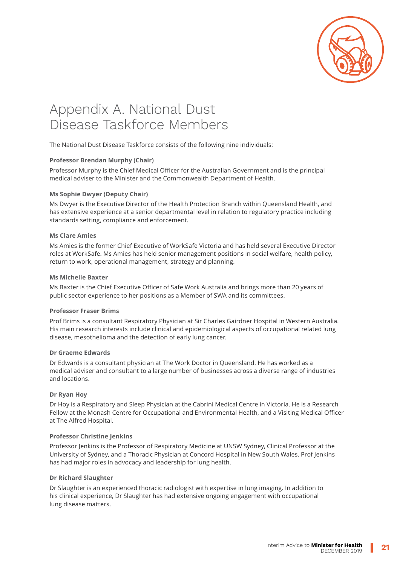

# <span id="page-20-0"></span>Appendix A. National Dust Disease Taskforce Members

The National Dust Disease Taskforce consists of the following nine individuals:

#### **Professor Brendan Murphy (Chair)**

Professor Murphy is the Chief Medical Officer for the Australian Government and is the principal medical adviser to the Minister and the Commonwealth Department of Health.

#### **Ms Sophie Dwyer (Deputy Chair)**

Ms Dwyer is the Executive Director of the Health Protection Branch within Queensland Health, and has extensive experience at a senior departmental level in relation to regulatory practice including standards setting, compliance and enforcement.

#### **Ms Clare Amies**

Ms Amies is the former Chief Executive of WorkSafe Victoria and has held several Executive Director roles at WorkSafe. Ms Amies has held senior management positions in social welfare, health policy, return to work, operational management, strategy and planning.

#### **Ms Michelle Baxter**

Ms Baxter is the Chief Executive Officer of Safe Work Australia and brings more than 20 years of public sector experience to her positions as a Member of SWA and its committees.

#### **Professor Fraser Brims**

Prof Brims is a consultant Respiratory Physician at Sir Charles Gairdner Hospital in Western Australia. His main research interests include clinical and epidemiological aspects of occupational related lung disease, mesothelioma and the detection of early lung cancer.

#### **Dr Graeme Edwards**

Dr Edwards is a consultant physician at The Work Doctor in Queensland. He has worked as a medical adviser and consultant to a large number of businesses across a diverse range of industries and locations.

#### **Dr Ryan Hoy**

Dr Hoy is a Respiratory and Sleep Physician at the Cabrini Medical Centre in Victoria. He is a Research Fellow at the Monash Centre for Occupational and Environmental Health, and a Visiting Medical Officer at The Alfred Hospital.

#### **Professor Christine Jenkins**

Professor Jenkins is the Professor of Respiratory Medicine at UNSW Sydney, Clinical Professor at the University of Sydney, and a Thoracic Physician at Concord Hospital in New South Wales. Prof Jenkins has had major roles in advocacy and leadership for lung health.

#### **Dr Richard Slaughter**

Dr Slaughter is an experienced thoracic radiologist with expertise in lung imaging. In addition to his clinical experience, Dr Slaughter has had extensive ongoing engagement with occupational lung disease matters.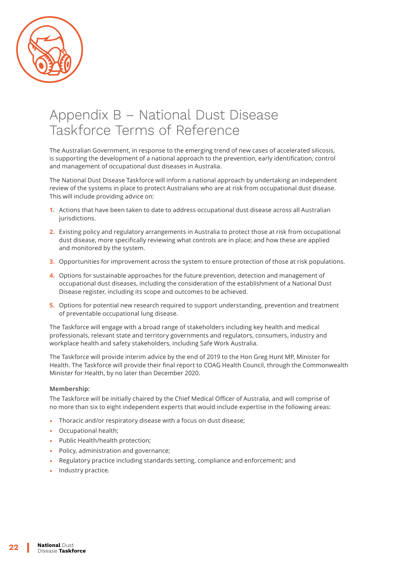<span id="page-21-0"></span>

# Appendix B – National Dust Disease Taskforce Terms of Reference

The Australian Government, in response to the emerging trend of new cases of accelerated silicosis, is supporting the development of a national approach to the prevention, early identification, control and management of occupational dust diseases in Australia.

The National Dust Disease Taskforce will inform a national approach by undertaking an independent review of the systems in place to protect Australians who are at risk from occupational dust disease. This will include providing advice on:

- **1.** Actions that have been taken to date to address occupational dust disease across all Australian jurisdictions.
- **2.** Existing policy and regulatory arrangements in Australia to protect those at risk from occupational dust disease, more specifically reviewing what controls are in place; and how these are applied and monitored by the system.
- **3.** Opportunities for improvement across the system to ensure protection of those at risk populations.
- **4.** Options for sustainable approaches for the future prevention, detection and management of occupational dust diseases, including the consideration of the establishment of a National Dust Disease register, including its scope and outcomes to be achieved.
- **5.** Options for potential new research required to support understanding, prevention and treatment of preventable occupational lung disease.

The Taskforce will engage with a broad range of stakeholders including key health and medical professionals, relevant state and territory governments and regulators, consumers, industry and workplace health and safety stakeholders, including Safe Work Australia.

The Taskforce will provide interim advice by the end of 2019 to the Hon Greg Hunt MP, Minister for Health. The Taskforce will provide their final report to COAG Health Council, through the Commonwealth Minister for Health, by no later than December 2020.

#### **Membership:**

The Taskforce will be initially chaired by the Chief Medical Officer of Australia, and will comprise of no more than six to eight independent experts that would include expertise in the following areas:

- Thoracic and/or respiratory disease with a focus on dust disease;
- Occupational health;
- Public Health/health protection;
- Policy, administration and governance;
- Regulatory practice including standards setting, compliance and enforcement; and
- Industry practice.